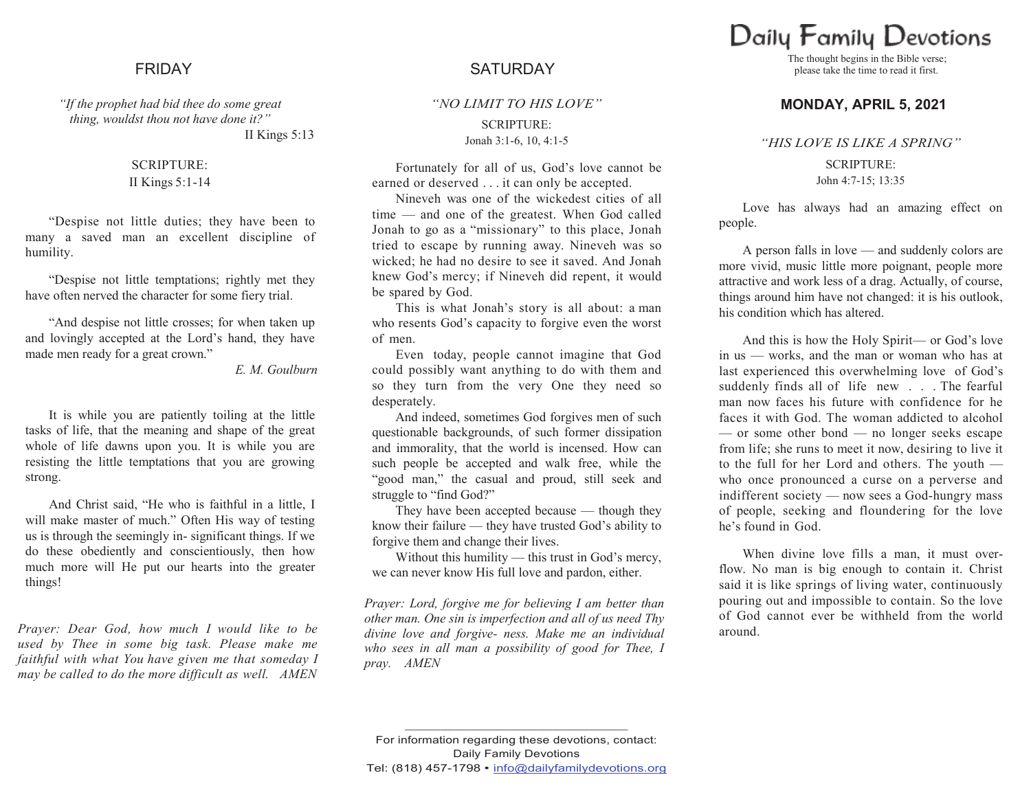*"If the prophet had bid thee do some great thing, wouldst thou not have done it?"*

II Kings 5:13

## SCRIPTURE: II Kings 5:1-14

"Despise not little duties; they have been to many a saved man an excellent discipline of humility.

"Despise not little temptations; rightly met they have often nerved the character for some fiery trial.

"And despise not little crosses; for when taken up and lovingly accepted at the Lord's hand, they have made men ready for a great crown."

## *E. M. Goulburn*

It is while you are patiently toiling at the little tasks of life, that the meaning and shape of the great whole of life dawns upon you. It is while you are resisting the little temptations that you are growing strong.

And Christ said, "He who is faithful in a little, I will make master of much." Often His way of testing us is through the seemingly in- significant things. If we do these obediently and conscientiously, then how much more will He put our hearts into the greater things!

*Prayer: Dear God, how much I would like to be used by Thee in some big task. Please make me faithful with what You have given me that someday I may be called to do the more difficult as well. AMEN*

# FRIDAY SATURDAY

*"NO LIMIT TO HIS LOVE"* SCRIPTURE: Jonah 3:1-6, 10, 4:1-5

Fortunately for all of us, God's love cannot be earned or deserved . . . it can only be accepted.

Nineveh was one of the wickedest cities of all time — and one of the greatest. When God called Jonah to go as a "missionary" to this place, Jonah tried to escape by running away. Nineveh was so wicked; he had no desire to see it saved. And Jonah knew God's mercy; if Nineveh did repent, it would be spared by God.

This is what Jonah's story is all about: a man who resents God's capacity to forgive even the worst of men.

Even today, people cannot imagine that God could possibly want anything to do with them and so they turn from the very One they need so desperately.

And indeed, sometimes God forgives men of such questionable backgrounds, of such former dissipation and immorality, that the world is incensed. How can such people be accepted and walk free, while the "good man," the casual and proud, still seek and struggle to "find God?"

They have been accepted because — though they know their failure — they have trusted God's ability to forgive them and change their lives.

Without this humility — this trust in God's mercy, we can never know His full love and pardon, either.

*Prayer: Lord, forgive me for believing I am better than other man. One sin is imperfection and all of us need Thy divine love and forgive- ness. Make me an individual who sees in all man a possibility of good for Thee, I pray. AMEN*

# Daily Family Devotions

The thought begins in the Bible verse; please take the time to read it first.

# **MONDAY, APRIL 5, 2021**

### *"HIS LOVE IS LIKE A SPRING"*

SCRIPTURE: John 4:7-15; 13:35

Love has always had an amazing effect on people.

A person falls in love — and suddenly colors are more vivid, music little more poignant, people more attractive and work less of a drag. Actually, of course, things around him have not changed: it is his outlook, his condition which has altered.

And this is how the Holy Spirit— or God's love in us — works, and the man or woman who has at last experienced this overwhelming love of God's suddenly finds all of life new . . . The fearful man now faces his future with confidence for he faces it with God. The woman addicted to alcohol — or some other bond — no longer seeks escape from life; she runs to meet it now, desiring to live it to the full for her Lord and others. The youth who once pronounced a curse on a perverse and indifferent society — now sees a God-hungry mass of people, seeking and floundering for the love he's found in God.

When divine love fills a man, it must overflow. No man is big enough to contain it. Christ said it is like springs of living water, continuously pouring out and impossible to contain. So the love of God cannot ever be withheld from the world around.

**\_\_\_\_\_\_\_\_\_\_\_\_\_\_\_\_\_\_\_\_\_\_\_\_\_\_\_\_\_\_\_\_\_\_\_\_\_\_\_\_\_\_\_\_**